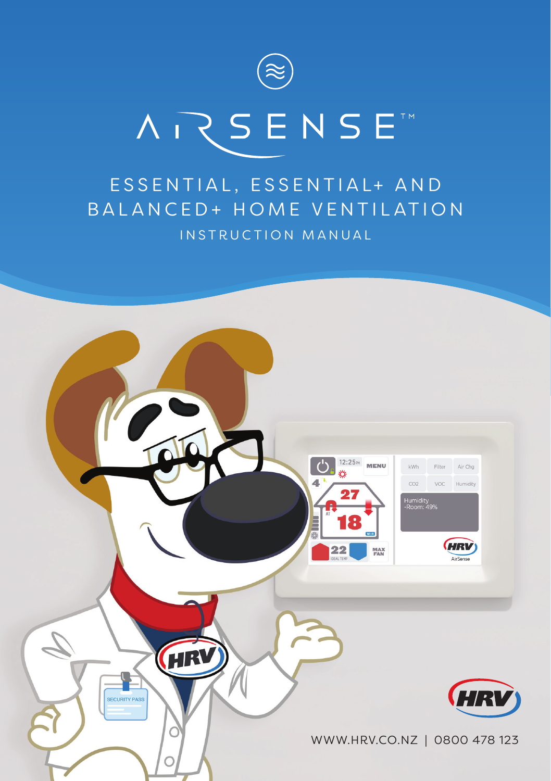

# **ARSENSE**

# ESSENTIAL, ESSENTIAL+ AND BALANCED+ HOME VENTILATION INSTRUCTION MANUAL

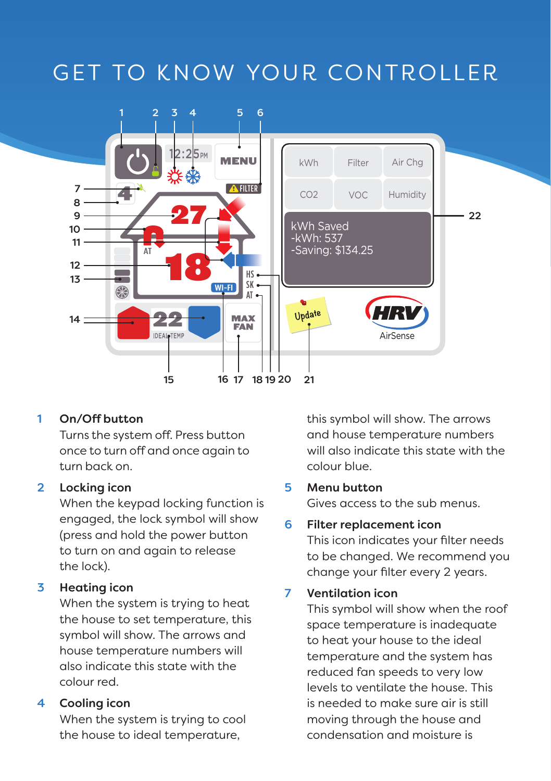# GET TO KNOW YOUR CONTROLLER



## 1 On/Off button

Turns the system off. Press button once to turn off and once again to turn back on.

#### 2 Locking icon

When the keypad locking function is engaged, the lock symbol will show (press and hold the power button to turn on and again to release the lock).

## 3 Heating icon

When the system is trying to heat the house to set temperature, this symbol will show. The arrows and house temperature numbers will also indicate this state with the colour red.

#### 4 Cooling icon

When the system is trying to cool the house to ideal temperature,

this symbol will show. The arrows and house temperature numbers will also indicate this state with the colour blue.

#### 5 Menu button

Gives access to the sub menus.

#### 6 Filter replacement icon

This icon indicates your filter needs to be changed. We recommend you change your filter every 2 years.

#### 7 Ventilation icon

This symbol will show when the roof space temperature is inadequate to heat your house to the ideal temperature and the system has reduced fan speeds to very low levels to ventilate the house. This is needed to make sure air is still moving through the house and condensation and moisture is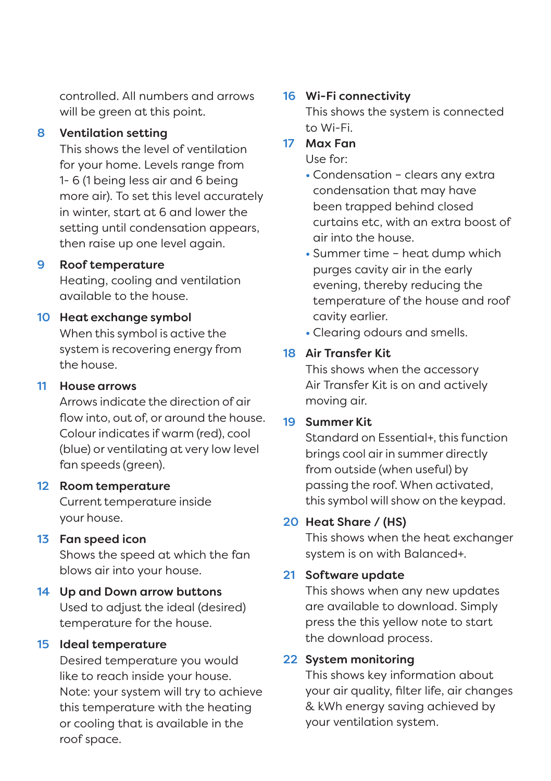controlled. All numbers and arrows will be green at this point.

#### 8 Ventilation setting

This shows the level of ventilation for your home. Levels range from 1- 6 (1 being less air and 6 being more air). To set this level accurately in winter, start at 6 and lower the setting until condensation appears, then raise up one level again.

## 9 Roof temperature

Heating, cooling and ventilation available to the house.

## 10 Heat exchange symbol

When this symbol is active the system is recovering energy from the house.

## 11 House arrows

Arrows indicate the direction of air flow into, out of, or around the house. Colour indicates if warm (red), cool (blue) or ventilating at very low level fan speeds (green).

#### 12 Room temperature

Current temperature inside your house.

# 13 Fan speed icon

Shows the speed at which the fan blows air into your house.

#### 14 Up and Down arrow buttons Used to adjust the ideal (desired) temperature for the house.

#### 15 Ideal temperature

Desired temperature you would like to reach inside your house. Note: your system will try to achieve this temperature with the heating or cooling that is available in the roof space.

## 16 Wi-Fi connectivity

This shows the system is connected to Wi-Fi.

# 17 Max Fan

Use for:

• Condensation – clears any extra condensation that may have been trapped behind closed curtains etc, with an extra boost of air into the house.

- Summer time heat dump which purges cavity air in the early evening, thereby reducing the temperature of the house and roof cavity earlier.
- Clearing odours and smells.

# 18 Air Transfer Kit

This shows when the accessory Air Transfer Kit is on and actively moving air.

## 19 Summer Kit

Standard on Essential+, this function brings cool air in summer directly from outside (when useful) by passing the roof. When activated, this symbol will show on the keypad.

## 20 Heat Share / (HS)

This shows when the heat exchanger system is on with Balanced+.

## 21 Software update

This shows when any new updates are available to download. Simply press the this yellow note to start the download process.

## 22 System monitoring

This shows key information about your air quality, filter life, air changes & kWh energy saving achieved by your ventilation system.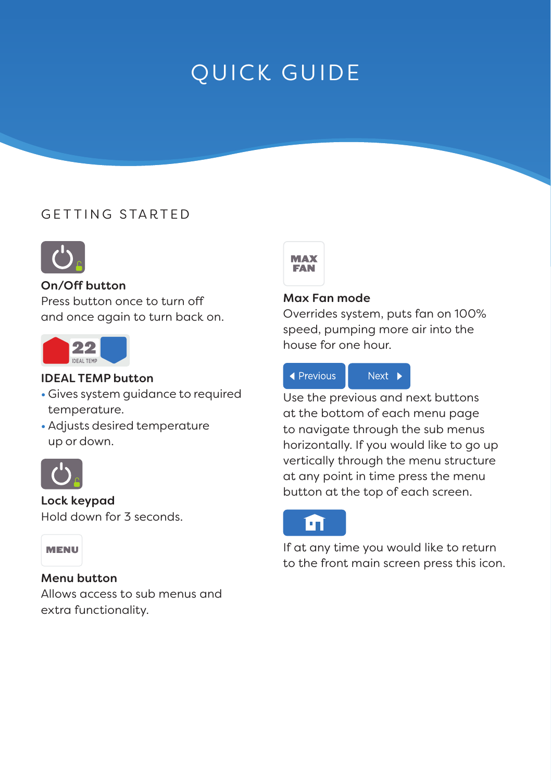# QUICK GUIDE

# GETTING STARTED



#### On/Off button

Press button once to turn off and once again to turn back on.



#### IDEAL TEMP button

- Gives system guidance to required temperature.
- Adjusts desired temperature up or down.



#### Lock keypad

Hold down for 3 seconds.

#### MENU

#### Menu button

Allows access to sub menus and extra functionality.



#### Max Fan mode

Overrides system, puts fan on 100% speed, pumping more air into the house for one hour.



Use the previous and next buttons at the bottom of each menu page to navigate through the sub menus horizontally. If you would like to go up vertically through the menu structure at any point in time press the menu button at the top of each screen.



If at any time you would like to return to the front main screen press this icon.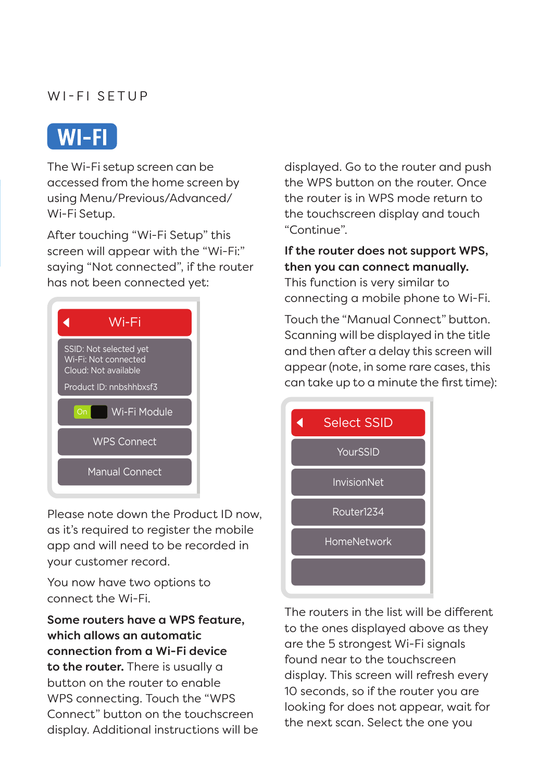# WI-FI SETUP



The Wi-Fi setup screen can be accessed from the home screen by using Menu/Previous/Advanced/ Wi-Fi Setup.

After touching "Wi-Fi Setup" this screen will appear with the "Wi-Fi:" saying "Not connected", if the router has not been connected yet:



Please note down the Product ID now, as it's required to register the mobile app and will need to be recorded in your customer record.

You now have two options to connect the Wi-Fi.

Some routers have a WPS feature, which allows an automatic connection from a Wi-Fi device to the router. There is usually a button on the router to enable WPS connecting. Touch the "WPS Connect" button on the touchscreen display. Additional instructions will be displayed. Go to the router and push the WPS button on the router. Once the router is in WPS mode return to the touchscreen display and touch "Continue".

If the router does not support WPS, then you can connect manually. This function is very similar to connecting a mobile phone to Wi-Fi.

Touch the "Manual Connect" button. Scanning will be displayed in the title and then after a delay this screen will appear (note, in some rare cases, this can take up to a minute the first time):



The routers in the list will be different to the ones displayed above as they are the 5 strongest Wi-Fi signals found near to the touchscreen display. This screen will refresh every 10 seconds, so if the router you are looking for does not appear, wait for the next scan. Select the one you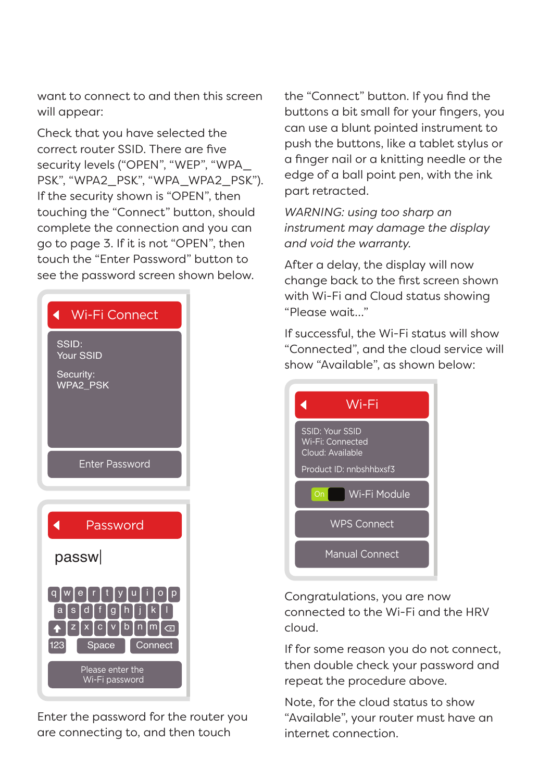want to connect to and then this screen will appear:

Check that you have selected the correct router SSID. There are five security levels ("OPEN", "WEP", "WPA\_ PSK", "WPA2\_PSK", "WPA\_WPA2\_PSK"). If the security shown is "OPEN", then touching the "Connect" button, should complete the connection and you can go to page 3. If it is not "OPEN", then touch the "Enter Password" button to see the password screen shown below.



Enter the password for the router you are connecting to, and then touch

the "Connect" button. If you find the buttons a bit small for your fingers, you can use a blunt pointed instrument to push the buttons, like a tablet stylus or a finger nail or a knitting needle or the edge of a ball point pen, with the ink part retracted.

*WARNING: using too sharp an instrument may damage the display and void the warranty.*

After a delay, the display will now change back to the first screen shown with Wi-Fi and Cloud status showing "Please wait…"

If successful, the Wi-Fi status will show "Connected", and the cloud service will show "Available", as shown below:



Congratulations, you are now connected to the Wi-Fi and the HRV cloud.

If for some reason you do not connect, then double check your password and repeat the procedure above.

Note, for the cloud status to show "Available", your router must have an internet connection.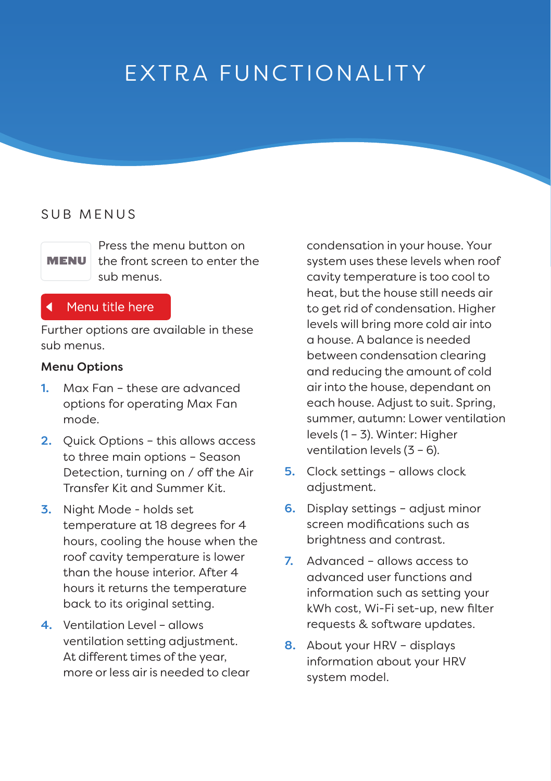# EXTRA FUNCTIONALITY

# SUB MENUS

MENU

Press the menu button on the front screen to enter the sub menus.

## Menu title here

Further options are available in these sub menus.

#### Menu Options

- 1. Max Fan these are advanced options for operating Max Fan mode.
- 2. Quick Options this allows access to three main options – Season Detection, turning on / off the Air Transfer Kit and Summer Kit.
- 3. Night Mode holds set temperature at 18 degrees for 4 hours, cooling the house when the roof cavity temperature is lower than the house interior. After 4 hours it returns the temperature back to its original setting.
- 4. Ventilation Level allows ventilation setting adjustment. At different times of the year, more or less air is needed to clear

condensation in your house. Your system uses these levels when roof cavity temperature is too cool to heat, but the house still needs air to get rid of condensation. Higher levels will bring more cold air into a house. A balance is needed between condensation clearing and reducing the amount of cold air into the house, dependant on each house. Adjust to suit. Spring, summer, autumn: Lower ventilation levels (1 – 3). Winter: Higher ventilation levels (3 – 6).

- 5. Clock settings allows clock adjustment.
- 6. Display settings adjust minor screen modifications such as brightness and contrast.
- 7. Advanced allows access to advanced user functions and information such as setting your kWh cost, Wi-Fi set-up, new filter requests & software updates.
- 8. About your HRV displays information about your HRV system model.